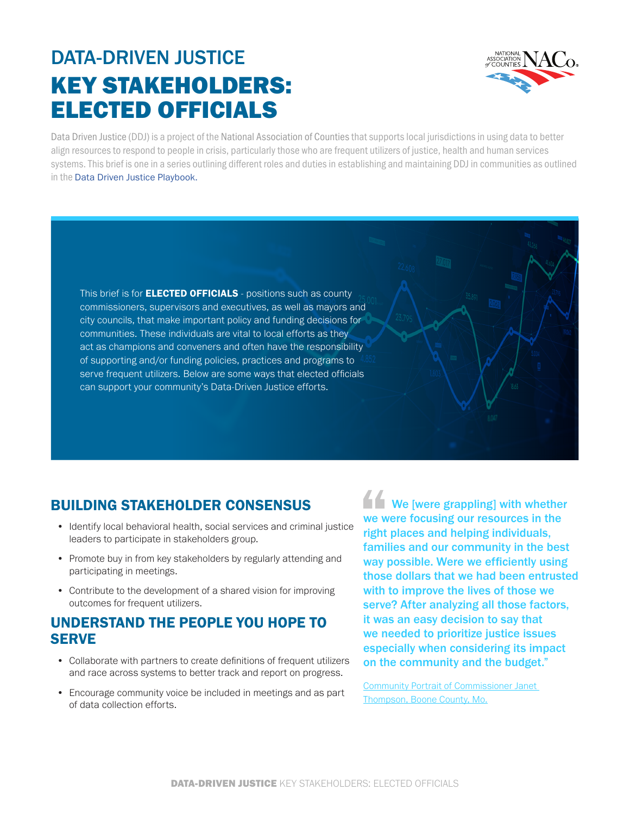# DATA-DRIVEN JUSTICE KEY STAKEHOLDERS: ELECTED OFFICIALS



Data Driven Justice (DDJ) is a project of the National Association of Counties that supports local jurisdictions in using data to better align resources to respond to people in crisis, particularly those who are frequent utilizers of justice, health and human services systems. This brief is one in a series outlining different roles and duties in establishing and maintaining DDJ in communities as outlined in the [Data Driven Justice Playbook.](https://craftmediabucket.s3.amazonaws.com/uploads/DDJPlaybook.pdf)

This brief is for **ELECTED OFFICIALS** - positions such as county commissioners, supervisors and executives, as well as mayors and city councils, that make important policy and funding decisions for communities. These individuals are vital to local efforts as they act as champions and conveners and often have the responsibility of supporting and/or funding policies, practices and programs to serve frequent utilizers. Below are some ways that elected officials can support your community's Data-Driven Justice efforts.

## BUILDING STAKEHOLDER CONSENSUS

- Identify local behavioral health, social services and criminal justice leaders to participate in stakeholders group.
- Promote buy in from key stakeholders by regularly attending and participating in meetings.
- Contribute to the development of a shared vision for improving outcomes for frequent utilizers.

#### UNDERSTAND THE PEOPLE YOU HOPE TO **SERVE**

- Collaborate with partners to create definitions of frequent utilizers and race across systems to better track and report on progress.
- Encourage community voice be included in meetings and as part of data collection efforts.

We [were grappling] with whether we were focusing our resources in the right places and helping individuals, families and our community in the best way possible. Were we efficiently using those dollars that we had been entrusted with to improve the lives of those we serve? After analyzing all those factors, it was an easy decision to say that we needed to prioritize justice issues especially when considering its impact on the community and the budget."

[Community Portrait of Commissioner Janet](https://www.naco.org/blog/data-driven-justice-community-portrait-commissioner-janet-thompson)  [Thompson, Boone County, Mo.](https://www.naco.org/blog/data-driven-justice-community-portrait-commissioner-janet-thompson)